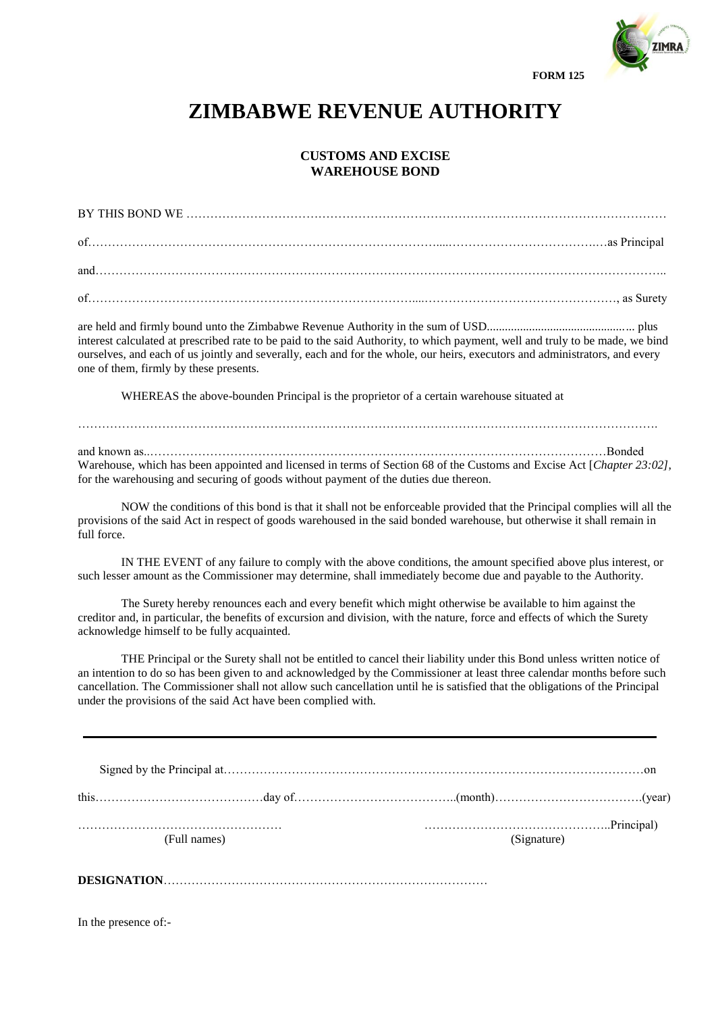

**FORM 125**

## **ZIMBABWE REVENUE AUTHORITY**

## **CUSTOMS AND EXCISE WAREHOUSE BOND**

are held and firmly bound unto the Zimbabwe Revenue Authority in the sum of USD................................................. plus interest calculated at prescribed rate to be paid to the said Authority, to which payment, well and truly to be made, we bind ourselves, and each of us jointly and severally, each and for the whole, our heirs, executors and administrators, and every one of them, firmly by these presents.

WHEREAS the above-bounden Principal is the proprietor of a certain warehouse situated at

and known as..……………………………………………………………………………………………………Bonded Warehouse, which has been appointed and licensed in terms of Section 68 of the Customs and Excise Act [*Chapter 23:02]*, for the warehousing and securing of goods without payment of the duties due thereon.

……………………………………………………………………………………………………………………………….

NOW the conditions of this bond is that it shall not be enforceable provided that the Principal complies will all the provisions of the said Act in respect of goods warehoused in the said bonded warehouse, but otherwise it shall remain in full force.

IN THE EVENT of any failure to comply with the above conditions, the amount specified above plus interest, or such lesser amount as the Commissioner may determine, shall immediately become due and payable to the Authority.

The Surety hereby renounces each and every benefit which might otherwise be available to him against the creditor and, in particular, the benefits of excursion and division, with the nature, force and effects of which the Surety acknowledge himself to be fully acquainted.

THE Principal or the Surety shall not be entitled to cancel their liability under this Bond unless written notice of an intention to do so has been given to and acknowledged by the Commissioner at least three calendar months before such cancellation. The Commissioner shall not allow such cancellation until he is satisfied that the obligations of the Principal under the provisions of the said Act have been complied with.

| (Full names) | $P(\text{rincipal})$<br>(Signature) |  |
|--------------|-------------------------------------|--|
|              |                                     |  |

**DESIGNATION**………………………………………………………………………

In the presence of:-